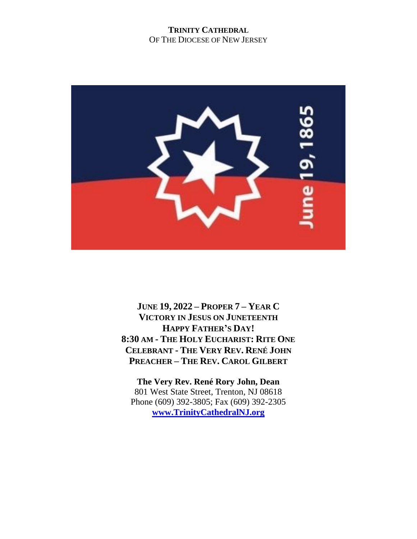#### **TRINITY CATHEDRAL** OF THE DIOCESE OF NEW JERSEY



**JUNE 19, 2022 – PROPER 7 – YEAR C VICTORY IN JESUS ON JUNETEENTH HAPPY FATHER'S DAY! 8:30 AM - THE HOLY EUCHARIST: RITE ONE CELEBRANT - THE VERY REV. RENÉ JOHN PREACHER – THE REV. CAROL GILBERT**

**The Very Rev. René Rory John, Dean** 801 West State Street, Trenton, NJ 08618 Phone (609) 392-3805; Fax (609) 392-2305 **[www.TrinityCathedralNJ.org](http://www.trinitycathedralnj.org/)**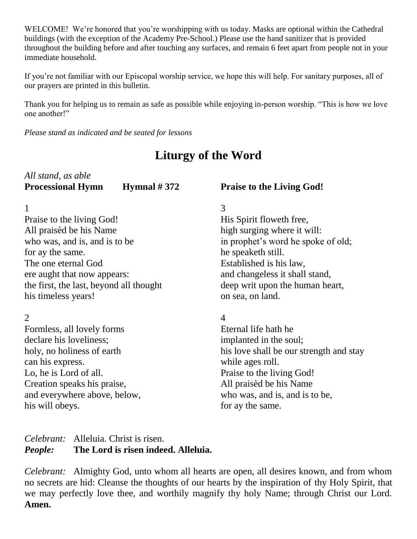WELCOME! We're honored that you're worshipping with us today. Masks are optional within the Cathedral buildings (with the exception of the Academy Pre-School.) Please use the hand sanitizer that is provided throughout the building before and after touching any surfaces, and remain 6 feet apart from people not in your immediate household.

If you're not familiar with our Episcopal worship service, we hope this will help. For sanitary purposes, all of our prayers are printed in this bulletin.

Thank you for helping us to remain as safe as possible while enjoying in-person worship. "This is how we love one another!"

*Please stand as indicated and be seated for lessons*

# **Liturgy of the Word**

| All stand, as able       |                        |
|--------------------------|------------------------|
| <b>Processional Hymn</b> | <b>Hymnal</b> $\sharp$ |

#### 1

Praise to the living God! All praisèd be his Name who was, and is, and is to be for ay the same. The one eternal God ere aught that now appears: the first, the last, beyond all thought his timeless years!

#### 2

Formless, all lovely forms declare his loveliness; holy, no holiness of earth can his express. Lo, he is Lord of all. Creation speaks his praise, and everywhere above, below, his will obeys.

# **#372** Praise to the Living God!

#### 3

His Spirit floweth free, high surging where it will: in prophet's word he spoke of old; he speaketh still. Established is his law, and changeless it shall stand, deep writ upon the human heart, on sea, on land.

#### 4

Eternal life hath he implanted in the soul; his love shall be our strength and stay while ages roll. Praise to the living God! All praisèd be his Name who was, and is, and is to be, for ay the same.

### *Celebrant:* Alleluia. Christ is risen. *People:* **The Lord is risen indeed. Alleluia.**

*Celebrant:* Almighty God, unto whom all hearts are open, all desires known, and from whom no secrets are hid: Cleanse the thoughts of our hearts by the inspiration of thy Holy Spirit, that we may perfectly love thee, and worthily magnify thy holy Name; through Christ our Lord. **Amen.**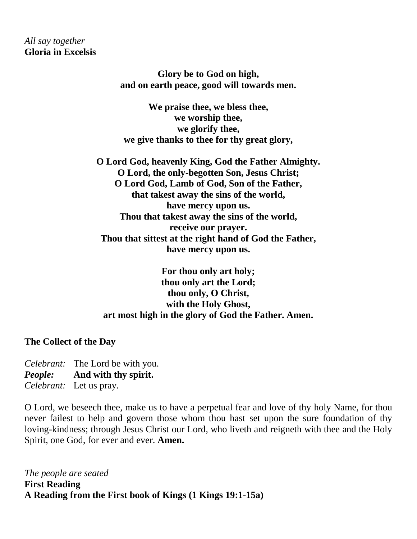*All say together* **Gloria in Excelsis**

> **Glory be to God on high, and on earth peace, good will towards men.**

**We praise thee, we bless thee, we worship thee, we glorify thee, we give thanks to thee for thy great glory,**

**O Lord God, heavenly King, God the Father Almighty. O Lord, the only-begotten Son, Jesus Christ; O Lord God, Lamb of God, Son of the Father, that takest away the sins of the world, have mercy upon us. Thou that takest away the sins of the world, receive our prayer. Thou that sittest at the right hand of God the Father, have mercy upon us.**

**For thou only art holy; thou only art the Lord; thou only, O Christ, with the Holy Ghost, art most high in the glory of God the Father. Amen.**

**The Collect of the Day**

*Celebrant:* The Lord be with you. *People:* **And with thy spirit.** *Celebrant:* Let us pray.

O Lord, we beseech thee, make us to have a perpetual fear and love of thy holy Name, for thou never failest to help and govern those whom thou hast set upon the sure foundation of thy loving-kindness; through Jesus Christ our Lord, who liveth and reigneth with thee and the Holy Spirit, one God, for ever and ever. **Amen.**

*The people are seated* **First Reading A Reading from the First book of Kings (1 Kings 19:1-15a)**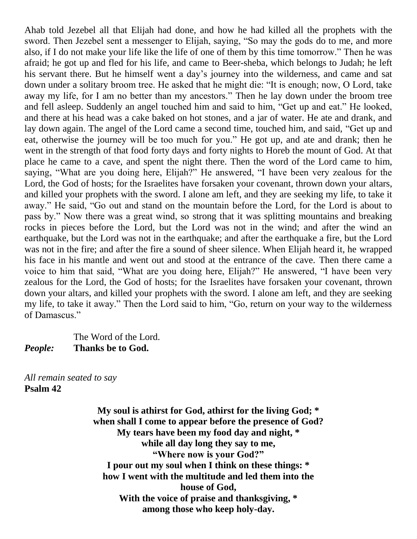Ahab told Jezebel all that Elijah had done, and how he had killed all the prophets with the sword. Then Jezebel sent a messenger to Elijah, saying, "So may the gods do to me, and more also, if I do not make your life like the life of one of them by this time tomorrow." Then he was afraid; he got up and fled for his life, and came to Beer-sheba, which belongs to Judah; he left his servant there. But he himself went a day's journey into the wilderness, and came and sat down under a solitary broom tree. He asked that he might die: "It is enough; now, O Lord, take away my life, for I am no better than my ancestors." Then he lay down under the broom tree and fell asleep. Suddenly an angel touched him and said to him, "Get up and eat." He looked, and there at his head was a cake baked on hot stones, and a jar of water. He ate and drank, and lay down again. The angel of the Lord came a second time, touched him, and said, "Get up and eat, otherwise the journey will be too much for you." He got up, and ate and drank; then he went in the strength of that food forty days and forty nights to Horeb the mount of God. At that place he came to a cave, and spent the night there. Then the word of the Lord came to him, saying, "What are you doing here, Elijah?" He answered, "I have been very zealous for the Lord, the God of hosts; for the Israelites have forsaken your covenant, thrown down your altars, and killed your prophets with the sword. I alone am left, and they are seeking my life, to take it away." He said, "Go out and stand on the mountain before the Lord, for the Lord is about to pass by." Now there was a great wind, so strong that it was splitting mountains and breaking rocks in pieces before the Lord, but the Lord was not in the wind; and after the wind an earthquake, but the Lord was not in the earthquake; and after the earthquake a fire, but the Lord was not in the fire; and after the fire a sound of sheer silence. When Elijah heard it, he wrapped his face in his mantle and went out and stood at the entrance of the cave. Then there came a voice to him that said, "What are you doing here, Elijah?" He answered, "I have been very zealous for the Lord, the God of hosts; for the Israelites have forsaken your covenant, thrown down your altars, and killed your prophets with the sword. I alone am left, and they are seeking my life, to take it away." Then the Lord said to him, "Go, return on your way to the wilderness of Damascus."

The Word of the Lord. *People:* **Thanks be to God.**

*All remain seated to say*  **Psalm 42**

> **My soul is athirst for God, athirst for the living God; \* when shall I come to appear before the presence of God? My tears have been my food day and night, \* while all day long they say to me, "Where now is your God?" I pour out my soul when I think on these things: \* how I went with the multitude and led them into the house of God, With the voice of praise and thanksgiving, \* among those who keep holy-day.**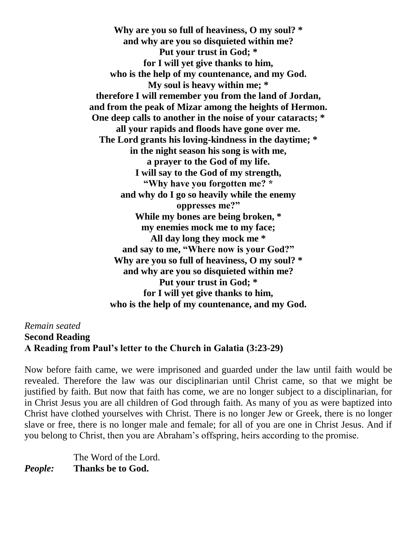**Why are you so full of heaviness, O my soul? \* and why are you so disquieted within me? Put your trust in God; \* for I will yet give thanks to him, who is the help of my countenance, and my God. My soul is heavy within me; \* therefore I will remember you from the land of Jordan, and from the peak of Mizar among the heights of Hermon. One deep calls to another in the noise of your cataracts; \* all your rapids and floods have gone over me. The Lord grants his loving-kindness in the daytime; \* in the night season his song is with me, a prayer to the God of my life. I will say to the God of my strength, "Why have you forgotten me? \* and why do I go so heavily while the enemy oppresses me?" While my bones are being broken, \* my enemies mock me to my face; All day long they mock me \* and say to me, "Where now is your God?" Why are you so full of heaviness, O my soul? \* and why are you so disquieted within me? Put your trust in God; \* for I will yet give thanks to him, who is the help of my countenance, and my God.**

*Remain seated* **Second Reading A Reading from Paul's letter to the Church in Galatia (3:23-29)**

Now before faith came, we were imprisoned and guarded under the law until faith would be revealed. Therefore the law was our disciplinarian until Christ came, so that we might be justified by faith. But now that faith has come, we are no longer subject to a disciplinarian, for in Christ Jesus you are all children of God through faith. As many of you as were baptized into Christ have clothed yourselves with Christ. There is no longer Jew or Greek, there is no longer slave or free, there is no longer male and female; for all of you are one in Christ Jesus. And if you belong to Christ, then you are Abraham's offspring, heirs according to the promise.

The Word of the Lord. *People:* **Thanks be to God.**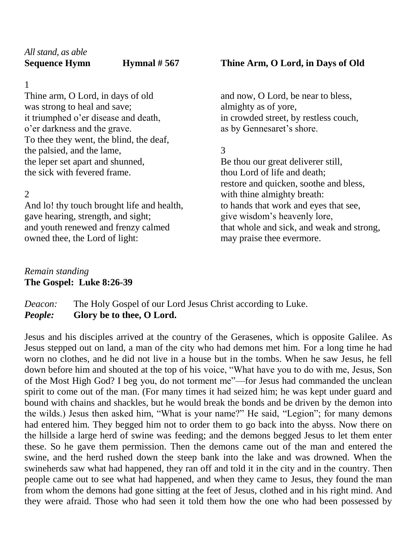1

Thine arm, O Lord, in days of old was strong to heal and save; it triumphed o'er disease and death, o'er darkness and the grave. To thee they went, the blind, the deaf, the palsied, and the lame, the leper set apart and shunned, the sick with fevered frame.

 $\mathcal{D}_{\mathcal{L}}$ 

And lo! thy touch brought life and health, gave hearing, strength, and sight; and youth renewed and frenzy calmed owned thee, the Lord of light:

## **Sequence Hymnal # 567 Thine Arm, O Lord, in Days of Old**

and now, O Lord, be near to bless, almighty as of yore, in crowded street, by restless couch, as by Gennesaret's shore.

3

Be thou our great deliverer still, thou Lord of life and death; restore and quicken, soothe and bless, with thine almighty breath: to hands that work and eyes that see, give wisdom's heavenly lore, that whole and sick, and weak and strong, may praise thee evermore.

# *Remain standing* **The Gospel: Luke 8:26-39**

*Deacon:* The Holy Gospel of our Lord Jesus Christ according to Luke. *People:* **Glory be to thee, O Lord.**

Jesus and his disciples arrived at the country of the Gerasenes, which is opposite Galilee. As Jesus stepped out on land, a man of the city who had demons met him. For a long time he had worn no clothes, and he did not live in a house but in the tombs. When he saw Jesus, he fell down before him and shouted at the top of his voice, "What have you to do with me, Jesus, Son of the Most High God? I beg you, do not torment me"—for Jesus had commanded the unclean spirit to come out of the man. (For many times it had seized him; he was kept under guard and bound with chains and shackles, but he would break the bonds and be driven by the demon into the wilds.) Jesus then asked him, "What is your name?" He said, "Legion"; for many demons had entered him. They begged him not to order them to go back into the abyss. Now there on the hillside a large herd of swine was feeding; and the demons begged Jesus to let them enter these. So he gave them permission. Then the demons came out of the man and entered the swine, and the herd rushed down the steep bank into the lake and was drowned. When the swineherds saw what had happened, they ran off and told it in the city and in the country. Then people came out to see what had happened, and when they came to Jesus, they found the man from whom the demons had gone sitting at the feet of Jesus, clothed and in his right mind. And they were afraid. Those who had seen it told them how the one who had been possessed by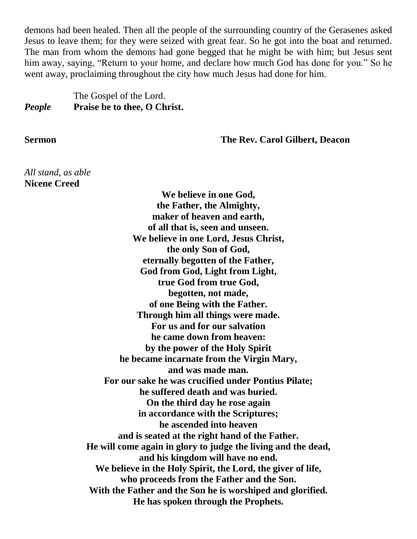demons had been healed. Then all the people of the surrounding country of the Gerasenes asked Jesus to leave them; for they were seized with great fear. So he got into the boat and returned. The man from whom the demons had gone begged that he might be with him; but Jesus sent him away, saying, "Return to your home, and declare how much God has done for you." So he went away, proclaiming throughout the city how much Jesus had done for him.

## The Gospel of the Lord. *People* **Praise be to thee, O Christ.**

**Sermon The Rev. Carol Gilbert, Deacon**

*All stand, as able* **Nicene Creed**

> **We believe in one God, the Father, the Almighty, maker of heaven and earth, of all that is, seen and unseen. We believe in one Lord, Jesus Christ, the only Son of God, eternally begotten of the Father, God from God, Light from Light, true God from true God, begotten, not made, of one Being with the Father. Through him all things were made. For us and for our salvation he came down from heaven: by the power of the Holy Spirit he became incarnate from the Virgin Mary, and was made man. For our sake he was crucified under Pontius Pilate; he suffered death and was buried. On the third day he rose again in accordance with the Scriptures; he ascended into heaven and is seated at the right hand of the Father. He will come again in glory to judge the living and the dead, and his kingdom will have no end. We believe in the Holy Spirit, the Lord, the giver of life, who proceeds from the Father and the Son. With the Father and the Son he is worshiped and glorified. He has spoken through the Prophets.**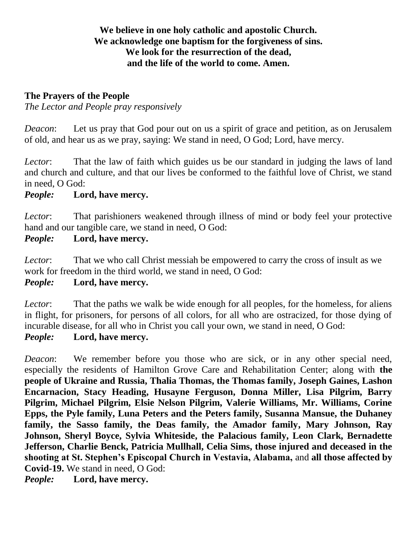# **We believe in one holy catholic and apostolic Church. We acknowledge one baptism for the forgiveness of sins. We look for the resurrection of the dead, and the life of the world to come. Amen.**

## **The Prayers of the People**

*The Lector and People pray responsively*

*Deacon*: Let us pray that God pour out on us a spirit of grace and petition, as on Jerusalem of old, and hear us as we pray, saying: We stand in need, O God; Lord, have mercy.

*Lector*: That the law of faith which guides us be our standard in judging the laws of land and church and culture, and that our lives be conformed to the faithful love of Christ, we stand in need, O God:

# *People:* **Lord, have mercy.**

*Lector*: That parishioners weakened through illness of mind or body feel your protective hand and our tangible care, we stand in need, O God:

# *People:* **Lord, have mercy.**

*Lector*: That we who call Christ messiah be empowered to carry the cross of insult as we work for freedom in the third world, we stand in need, O God:

# *People:* **Lord, have mercy.**

*Lector*: That the paths we walk be wide enough for all peoples, for the homeless, for aliens in flight, for prisoners, for persons of all colors, for all who are ostracized, for those dying of incurable disease, for all who in Christ you call your own, we stand in need, O God:

#### *People:* **Lord, have mercy.**

*Deacon*: We remember before you those who are sick, or in any other special need, especially the residents of Hamilton Grove Care and Rehabilitation Center; along with **the people of Ukraine and Russia, Thalia Thomas, the Thomas family, Joseph Gaines, Lashon Encarnacion, Stacy Heading, Husayne Ferguson, Donna Miller, Lisa Pilgrim, Barry Pilgrim, Michael Pilgrim, Elsie Nelson Pilgrim, Valerie Williams, Mr. Williams, Corine Epps, the Pyle family, Luna Peters and the Peters family, Susanna Mansue, the Duhaney family, the Sasso family, the Deas family, the Amador family, Mary Johnson, Ray Johnson, Sheryl Boyce, Sylvia Whiteside, the Palacious family, Leon Clark, Bernadette Jefferson, Charlie Benck, Patricia Mullhall, Celia Sims, those injured and deceased in the shooting at St. Stephen's Episcopal Church in Vestavia, Alabama,** and **all those affected by Covid-19.** We stand in need, O God:

*People:* **Lord, have mercy.**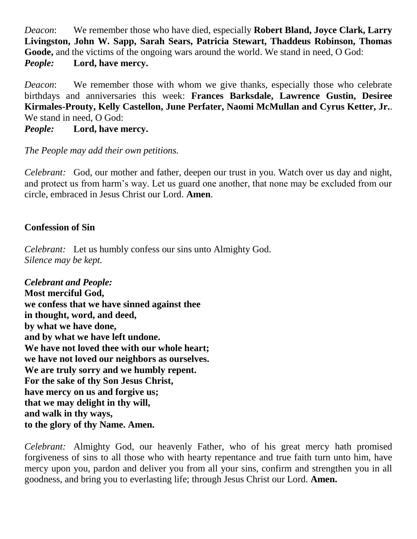*Deacon*: We remember those who have died, especially **Robert Bland, Joyce Clark, Larry Livingston, John W. Sapp, Sarah Sears, Patricia Stewart, Thaddeus Robinson, Thomas Goode,** and the victims of the ongoing wars around the world. We stand in need, O God: *People:* **Lord, have mercy.**

*Deacon*: We remember those with whom we give thanks, especially those who celebrate birthdays and anniversaries this week: **Frances Barksdale, Lawrence Gustin, Desiree Kirmales-Prouty, Kelly Castellon, June Perfater, Naomi McMullan and Cyrus Ketter, Jr.**. We stand in need, O God:

*People:* **Lord, have mercy.**

#### *The People may add their own petitions.*

*Celebrant:* God, our mother and father, deepen our trust in you. Watch over us day and night, and protect us from harm's way. Let us guard one another, that none may be excluded from our circle, embraced in Jesus Christ our Lord. **Amen**.

# **Confession of Sin**

*Celebrant:* Let us humbly confess our sins unto Almighty God. *Silence may be kept.*

*Celebrant and People:* **Most merciful God, we confess that we have sinned against thee in thought, word, and deed, by what we have done, and by what we have left undone. We have not loved thee with our whole heart; we have not loved our neighbors as ourselves. We are truly sorry and we humbly repent. For the sake of thy Son Jesus Christ, have mercy on us and forgive us; that we may delight in thy will, and walk in thy ways, to the glory of thy Name. Amen.**

*Celebrant:* Almighty God, our heavenly Father, who of his great mercy hath promised forgiveness of sins to all those who with hearty repentance and true faith turn unto him, have mercy upon you, pardon and deliver you from all your sins, confirm and strengthen you in all goodness, and bring you to everlasting life; through Jesus Christ our Lord. **Amen.**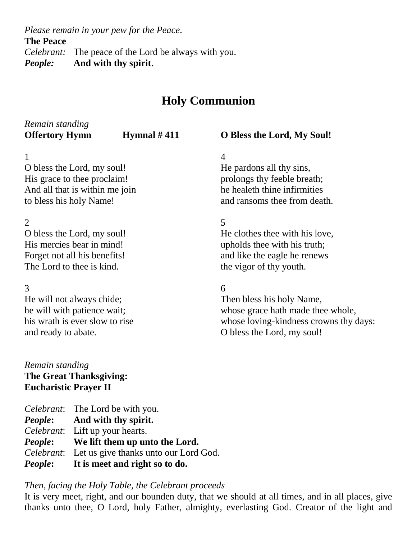*Please remain in your pew for the Peace.*

**The Peace**

*Celebrant:* The peace of the Lord be always with you.

*People:* **And with thy spirit.**

# **Holy Communion**

| Remain standing                |               |                                        |
|--------------------------------|---------------|----------------------------------------|
| <b>Offertory Hymn</b>          | Hymnal $#411$ | O Bless the Lord, My Soul!             |
| $\mathbf{1}$                   |               | 4                                      |
| O bless the Lord, my soul!     |               | He pardons all thy sins,               |
| His grace to thee proclaim!    |               | prolongs thy feeble breath;            |
| And all that is within me join |               | he healeth thine infirmities           |
| to bless his holy Name!        |               | and ransoms thee from death.           |
| $\overline{2}$                 |               | 5                                      |
| O bless the Lord, my soul!     |               | He clothes thee with his love,         |
| His mercies bear in mind!      |               | upholds thee with his truth;           |
| Forget not all his benefits!   |               | and like the eagle he renews           |
| The Lord to thee is kind.      |               | the vigor of thy youth.                |
| 3                              |               | 6                                      |
| He will not always chide;      |               | Then bless his holy Name,              |
| he will with patience wait;    |               | whose grace hath made thee whole,      |
| his wrath is ever slow to rise |               | whose loving-kindness crowns thy days: |
| and ready to abate.            |               | O bless the Lord, my soul!             |
|                                |               |                                        |

## *Remain standing* **The Great Thanksgiving: Eucharistic Prayer II**

*Celebrant*: The Lord be with you. *People***: And with thy spirit.** *Celebrant*: Lift up your hearts. *People***: We lift them up unto the Lord.** *Celebrant*: Let us give thanks unto our Lord God. *People***: It is meet and right so to do.**

# *Then, facing the Holy Table, the Celebrant proceeds*

It is very meet, right, and our bounden duty, that we should at all times, and in all places, give thanks unto thee, O Lord, holy Father, almighty, everlasting God. Creator of the light and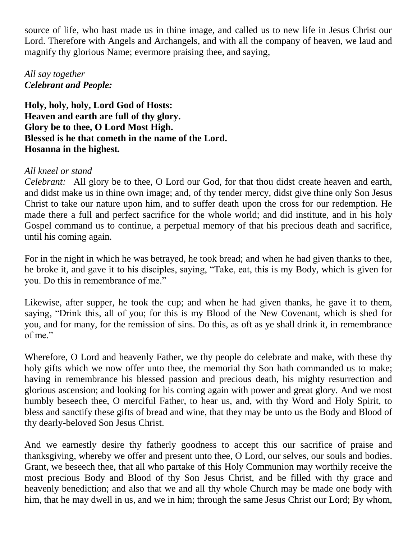source of life, who hast made us in thine image, and called us to new life in Jesus Christ our Lord. Therefore with Angels and Archangels, and with all the company of heaven, we laud and magnify thy glorious Name; evermore praising thee, and saying,

# *All say together Celebrant and People:*

**Holy, holy, holy, Lord God of Hosts: Heaven and earth are full of thy glory. Glory be to thee, O Lord Most High. Blessed is he that cometh in the name of the Lord. Hosanna in the highest***.*

# *All kneel or stand*

*Celebrant:* All glory be to thee, O Lord our God, for that thou didst create heaven and earth, and didst make us in thine own image; and, of thy tender mercy, didst give thine only Son Jesus Christ to take our nature upon him, and to suffer death upon the cross for our redemption. He made there a full and perfect sacrifice for the whole world; and did institute, and in his holy Gospel command us to continue, a perpetual memory of that his precious death and sacrifice, until his coming again.

For in the night in which he was betrayed, he took bread; and when he had given thanks to thee, he broke it, and gave it to his disciples, saying, "Take, eat, this is my Body, which is given for you. Do this in remembrance of me."

Likewise, after supper, he took the cup; and when he had given thanks, he gave it to them, saying, "Drink this, all of you; for this is my Blood of the New Covenant, which is shed for you, and for many, for the remission of sins. Do this, as oft as ye shall drink it, in remembrance of me."

Wherefore, O Lord and heavenly Father, we thy people do celebrate and make, with these thy holy gifts which we now offer unto thee, the memorial thy Son hath commanded us to make; having in remembrance his blessed passion and precious death, his mighty resurrection and glorious ascension; and looking for his coming again with power and great glory. And we most humbly beseech thee, O merciful Father, to hear us, and, with thy Word and Holy Spirit, to bless and sanctify these gifts of bread and wine, that they may be unto us the Body and Blood of thy dearly-beloved Son Jesus Christ.

And we earnestly desire thy fatherly goodness to accept this our sacrifice of praise and thanksgiving, whereby we offer and present unto thee, O Lord, our selves, our souls and bodies. Grant, we beseech thee, that all who partake of this Holy Communion may worthily receive the most precious Body and Blood of thy Son Jesus Christ, and be filled with thy grace and heavenly benediction; and also that we and all thy whole Church may be made one body with him, that he may dwell in us, and we in him; through the same Jesus Christ our Lord; By whom,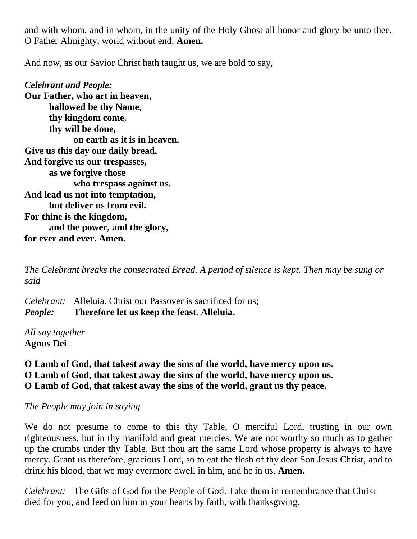and with whom, and in whom, in the unity of the Holy Ghost all honor and glory be unto thee, O Father Almighty, world without end. **Amen.**

And now, as our Savior Christ hath taught us, we are bold to say,

*Celebrant and People:* **Our Father, who art in heaven, hallowed be thy Name, thy kingdom come, thy will be done, on earth as it is in heaven. Give us this day our daily bread. And forgive us our trespasses, as we forgive those who trespass against us. And lead us not into temptation, but deliver us from evil. For thine is the kingdom, and the power, and the glory, for ever and ever. Amen.**

*The Celebrant breaks the consecrated Bread. A period of silence is kept. Then may be sung or said*

*Celebrant:* Alleluia. Christ our Passover is sacrificed for us; *People:* **Therefore let us keep the feast. Alleluia.**

*All say together* **Agnus Dei**

**O Lamb of God, that takest away the sins of the world, have mercy upon us. O Lamb of God, that takest away the sins of the world, have mercy upon us. O Lamb of God, that takest away the sins of the world, grant us thy peace.**

*The People may join in saying*

We do not presume to come to this thy Table, O merciful Lord, trusting in our own righteousness, but in thy manifold and great mercies. We are not worthy so much as to gather up the crumbs under thy Table. But thou art the same Lord whose property is always to have mercy. Grant us therefore, gracious Lord, so to eat the flesh of thy dear Son Jesus Christ, and to drink his blood, that we may evermore dwell in him, and he in us. **Amen.**

*Celebrant:* The Gifts of God for the People of God. Take them in remembrance that Christ died for you, and feed on him in your hearts by faith, with thanksgiving.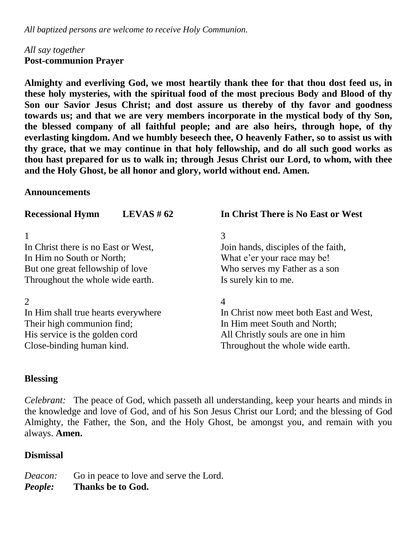*All baptized persons are welcome to receive Holy Communion.* 

### *All say together* **Post-communion Prayer**

**Almighty and everliving God, we most heartily thank thee for that thou dost feed us, in these holy mysteries, with the spiritual food of the most precious Body and Blood of thy Son our Savior Jesus Christ; and dost assure us thereby of thy favor and goodness towards us; and that we are very members incorporate in the mystical body of thy Son, the blessed company of all faithful people; and are also heirs, through hope, of thy everlasting kingdom. And we humbly beseech thee, O heavenly Father, so to assist us with thy grace, that we may continue in that holy fellowship, and do all such good works as thou hast prepared for us to walk in; through Jesus Christ our Lord, to whom, with thee and the Holy Ghost, be all honor and glory, world without end. Amen.**

#### **Announcements**

| <b>Recessional Hymn</b>             | LEVAS # $62$ | In Christ There is No East or West     |
|-------------------------------------|--------------|----------------------------------------|
|                                     |              | 3                                      |
| In Christ there is no East or West, |              | Join hands, disciples of the faith,    |
| In Him no South or North;           |              | What e'er your race may be!            |
| But one great fellowship of love    |              | Who serves my Father as a son          |
| Throughout the whole wide earth.    |              | Is surely kin to me.                   |
| $\overline{2}$                      |              | 4                                      |
| In Him shall true hearts everywhere |              | In Christ now meet both East and West, |
| Their high communion find;          |              | In Him meet South and North;           |
| His service is the golden cord      |              | All Christly souls are one in him      |
| Close-binding human kind.           |              | Throughout the whole wide earth.       |

# **Blessing**

*Celebrant:* The peace of God, which passeth all understanding, keep your hearts and minds in the knowledge and love of God, and of his Son Jesus Christ our Lord; and the blessing of God Almighty, the Father, the Son, and the Holy Ghost, be amongst you, and remain with you always. **Amen.**

# **Dismissal**

| Deacon: | Go in peace to love and serve the Lord. |
|---------|-----------------------------------------|
| People: | Thanks be to God.                       |
|         |                                         |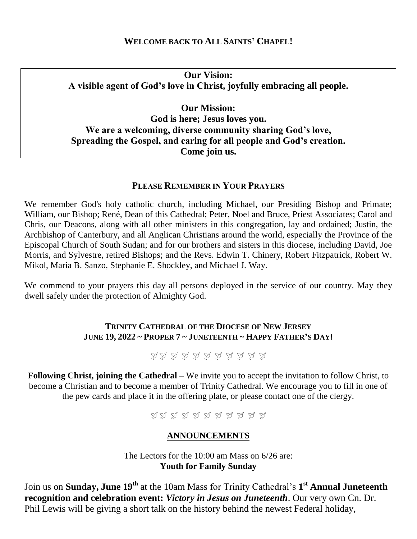#### **WELCOME BACK TO ALL SAINTS' CHAPEL!**

**Our Vision: A visible agent of God's love in Christ, joyfully embracing all people.**

**Our Mission: God is here; Jesus loves you. We are a welcoming, diverse community sharing God's love, Spreading the Gospel, and caring for all people and God's creation. Come join us.**

#### **PLEASE REMEMBER IN YOUR PRAYERS**

We remember God's holy catholic church, including Michael, our Presiding Bishop and Primate; William, our Bishop; René, Dean of this Cathedral; Peter, Noel and Bruce, Priest Associates; Carol and Chris, our Deacons, along with all other ministers in this congregation, lay and ordained; Justin, the Archbishop of Canterbury, and all Anglican Christians around the world, especially the Province of the Episcopal Church of South Sudan; and for our brothers and sisters in this diocese, including David, Joe Morris, and Sylvestre, retired Bishops; and the Revs. Edwin T. Chinery, Robert Fitzpatrick, Robert W. Mikol, Maria B. Sanzo, Stephanie E. Shockley, and Michael J. Way.

We commend to your prayers this day all persons deployed in the service of our country. May they dwell safely under the protection of Almighty God.

#### **TRINITY CATHEDRAL OF THE DIOCESE OF NEW JERSEY JUNE 19, 2022 ~ PROPER 7 ~ JUNETEENTH ~ HAPPY FATHER'S DAY!**

みみ みみみみみみみみみ

**Following Christ, joining the Cathedral** – We invite you to accept the invitation to follow Christ, to become a Christian and to become a member of Trinity Cathedral. We encourage you to fill in one of the pew cards and place it in the offering plate, or please contact one of the clergy.

AA A A A A A A A A

#### **ANNOUNCEMENTS**

The Lectors for the 10:00 am Mass on 6/26 are: **Youth for Family Sunday**

Join us on **Sunday, June 19th** at the 10am Mass for Trinity Cathedral's **1 st Annual Juneteenth recognition and celebration event:** *Victory in Jesus on Juneteenth*. Our very own Cn. Dr. Phil Lewis will be giving a short talk on the history behind the newest Federal holiday,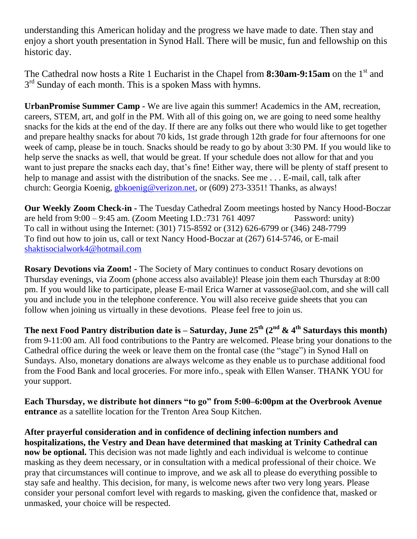understanding this American holiday and the progress we have made to date. Then stay and enjoy a short youth presentation in Synod Hall. There will be music, fun and fellowship on this historic day.

The Cathedral now hosts a Rite 1 Eucharist in the Chapel from **8:30am-9:15am** on the 1<sup>st</sup> and 3<sup>rd</sup> Sunday of each month. This is a spoken Mass with hymns.

**UrbanPromise Summer Camp -** We are live again this summer! Academics in the AM, recreation, careers, STEM, art, and golf in the PM. With all of this going on, we are going to need some healthy snacks for the kids at the end of the day. If there are any folks out there who would like to get together and prepare healthy snacks for about 70 kids, 1st grade through 12th grade for four afternoons for one week of camp, please be in touch. Snacks should be ready to go by about 3:30 PM. If you would like to help serve the snacks as well, that would be great. If your schedule does not allow for that and you want to just prepare the snacks each day, that's fine! Either way, there will be plenty of staff present to help to manage and assist with the distribution of the snacks. See me... E-mail, call, talk after church: Georgia Koenig, [gbkoenig@verizon.net,](mailto:gbkoenig@verizon.net) or (609) 273-3351! Thanks, as always!

**Our Weekly Zoom Check-in -** The Tuesday Cathedral Zoom meetings hosted by Nancy Hood-Boczar are held from 9:00 – 9:45 am. (Zoom Meeting I.D.:731 761 4097 Password: unity) To call in without using the Internet: (301) 715-8592 or (312) 626-6799 or (346) 248-7799 To find out how to join us, call or text Nancy Hood-Boczar at (267) 614-5746, or E-mail [shaktisocialwork4@hotmail.com](mailto:shaktisocialwork4@hotmail.com)

**Rosary Devotions via Zoom! -** The Society of Mary continues to conduct Rosary devotions on Thursday evenings, via Zoom (phone access also available)! Please join them each Thursday at 8:00 pm. If you would like to participate, please E-mail Erica Warner at vassose@aol.com, and she will call you and include you in the telephone conference. You will also receive guide sheets that you can follow when joining us virtually in these devotions. Please feel free to join us.

**The next Food Pantry distribution date is – Saturday, June 25th (2 nd & 4 th Saturdays this month)** from 9-11:00 am. All food contributions to the Pantry are welcomed. Please bring your donations to the Cathedral office during the week or leave them on the frontal case (the "stage") in Synod Hall on Sundays. Also, monetary donations are always welcome as they enable us to purchase additional food from the Food Bank and local groceries. For more info., speak with Ellen Wanser. THANK YOU for your support.

**Each Thursday, we distribute hot dinners "to go" from 5:00–6:00pm at the Overbrook Avenue entrance** as a satellite location for the Trenton Area Soup Kitchen.

**After prayerful consideration and in confidence of declining infection numbers and hospitalizations, the Vestry and Dean have determined that masking at Trinity Cathedral can now be optional.** This decision was not made lightly and each individual is welcome to continue masking as they deem necessary, or in consultation with a medical professional of their choice. We pray that circumstances will continue to improve, and we ask all to please do everything possible to stay safe and healthy. This decision, for many, is welcome news after two very long years. Please consider your personal comfort level with regards to masking, given the confidence that, masked or unmasked, your choice will be respected.